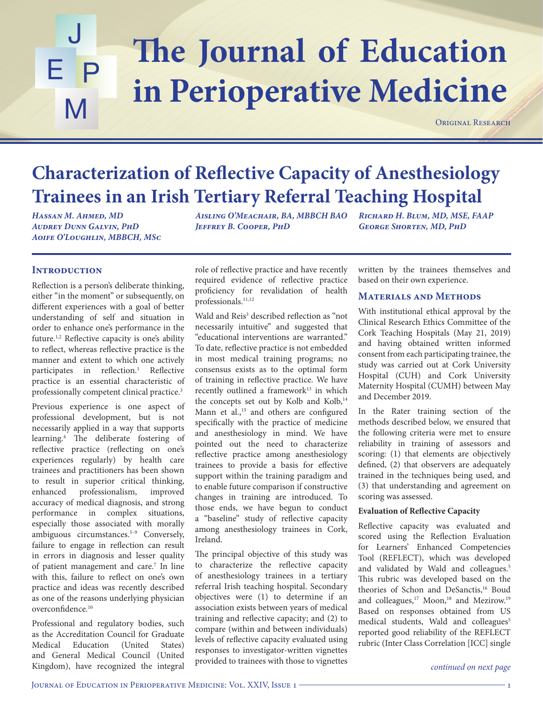# The Journal of Education J E P M **in Perioperative Medicine**

ORIGINAL RESEARCH

# **Characterization of Reflective Capacity of Anesthesiology Trainees in an Irish Tertiary Referral Teaching Hospital**

*Hassan M. Ahmed, MD Audrey Dunn Galvin, PhD Aoife O'Loughlin, MBBCH, MSc* *Aisling O'Meachair, BA, MBBCH BAO Jeffrey B. Cooper, PhD* 

*Richard H. Blum, MD, MSE, FAAP George Shorten, MD, PhD*

## **INTRODUCTION**

Reflection is a person's deliberate thinking, either "in the moment" or subsequently, on different experiences with a goal of better understanding of self and situation in order to enhance one's performance in the future.1,2 Reflective capacity is one's ability to reflect, whereas reflective practice is the manner and extent to which one actively participates in reflection.<sup>1</sup> Reflective practice is an essential characteristic of professionally competent clinical practice.3

Previous experience is one aspect of professional development, but is not necessarily applied in a way that supports learning.4 The deliberate fostering of reflective practice (reflecting on one's experiences regularly) by health care trainees and practitioners has been shown to result in superior critical thinking, enhanced professionalism, improved accuracy of medical diagnosis, and strong performance in complex situations, especially those associated with morally ambiguous circumstances.<sup>5-9</sup> Conversely, failure to engage in reflection can result in errors in diagnosis and lesser quality of patient management and care.<sup>7</sup> In line with this, failure to reflect on one's own practice and ideas was recently described as one of the reasons underlying physician overconfidence.10

Professional and regulatory bodies, such as the Accreditation Council for Graduate Medical Education (United States) and General Medical Council (United Kingdom), have recognized the integral

role of reflective practice and have recently required evidence of reflective practice proficiency for revalidation of health professionals.<sup>11,12</sup>

Wald and Reis<sup>3</sup> described reflection as "not necessarily intuitive" and suggested that "educational interventions are warranted." To date, reflective practice is not embedded in most medical training programs; no consensus exists as to the optimal form of training in reflective practice. We have recently outlined a framework<sup>13</sup> in which the concepts set out by Kolb and Kolb,<sup>14</sup> Mann et al.,<sup>15</sup> and others are configured specifically with the practice of medicine and anesthesiology in mind. We have pointed out the need to characterize reflective practice among anesthesiology trainees to provide a basis for effective support within the training paradigm and to enable future comparison if constructive changes in training are introduced. To those ends, we have begun to conduct a "baseline" study of reflective capacity among anesthesiology trainees in Cork, Ireland.

The principal objective of this study was to characterize the reflective capacity of anesthesiology trainees in a tertiary referral Irish teaching hospital. Secondary objectives were (1) to determine if an association exists between years of medical training and reflective capacity; and (2) to compare (within and between individuals) levels of reflective capacity evaluated using responses to investigator-written vignettes provided to trainees with those to vignettes written by the trainees themselves and based on their own experience.

#### **Materials and Methods**

With institutional ethical approval by the Clinical Research Ethics Committee of the Cork Teaching Hospitals (May 21, 2019) and having obtained written informed consent from each participating trainee, the study was carried out at Cork University Hospital (CUH) and Cork University Maternity Hospital (CUMH) between May and December 2019.

In the Rater training section of the methods described below, we ensured that the following criteria were met to ensure reliability in training of assessors and scoring: (1) that elements are objectively defined, (2) that observers are adequately trained in the techniques being used, and (3) that understanding and agreement on scoring was assessed.

#### **Evaluation of Reflective Capacity**

Reflective capacity was evaluated and scored using the Reflection Evaluation for Learners' Enhanced Competencies Tool (REFLECT), which was developed and validated by Wald and colleagues.<sup>5</sup> This rubric was developed based on the theories of Schon and DeSanctis,<sup>16</sup> Boud and colleagues,<sup>17</sup> Moon,<sup>18</sup> and Mezirow.<sup>19</sup> Based on responses obtained from US medical students, Wald and colleagues<sup>5</sup> reported good reliability of the REFLECT rubric (Inter Class Correlation [ICC] single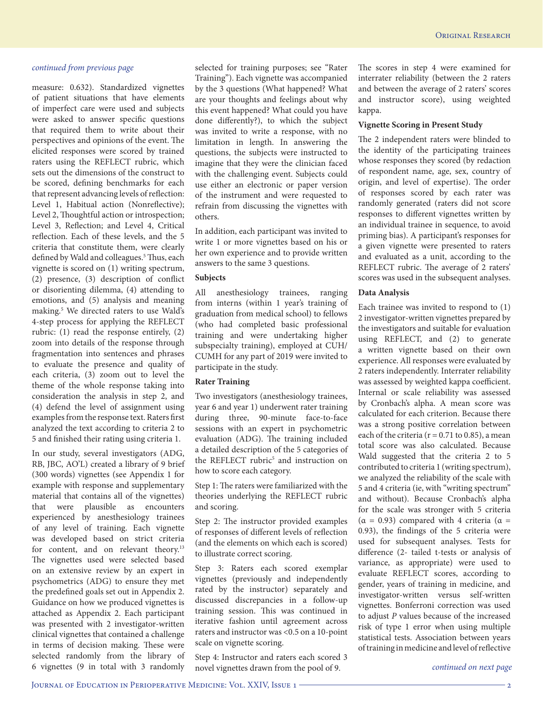measure: 0.632). Standardized vignettes of patient situations that have elements of imperfect care were used and subjects were asked to answer specific questions that required them to write about their perspectives and opinions of the event. The elicited responses were scored by trained raters using the REFLECT rubric, which sets out the dimensions of the construct to be scored, defining benchmarks for each that represent advancing levels of reflection: Level 1, Habitual action (Nonreflective); Level 2, Thoughtful action or introspection; Level 3, Reflection; and Level 4, Critical reflection. Each of these levels, and the 5 criteria that constitute them, were clearly defined by Wald and colleagues.<sup>5</sup> Thus, each vignette is scored on (1) writing spectrum, (2) presence, (3) description of conflict or disorienting dilemma, (4) attending to emotions, and (5) analysis and meaning making.5 We directed raters to use Wald's 4-step process for applying the REFLECT rubric: (1) read the response entirely, (2) zoom into details of the response through fragmentation into sentences and phrases to evaluate the presence and quality of each criteria, (3) zoom out to level the theme of the whole response taking into consideration the analysis in step 2, and (4) defend the level of assignment using examples from the response text. Raters first analyzed the text according to criteria 2 to 5 and finished their rating using criteria 1.

In our study, several investigators (ADG, RB, JBC, AO'L) created a library of 9 brief (300 words) vignettes (see Appendix 1 for example with response and supplementary material that contains all of the vignettes) that were plausible as encounters experienced by anesthesiology trainees of any level of training. Each vignette was developed based on strict criteria for content, and on relevant theory.<sup>13</sup> The vignettes used were selected based on an extensive review by an expert in psychometrics (ADG) to ensure they met the predefined goals set out in Appendix 2. Guidance on how we produced vignettes is attached as Appendix 2. Each participant was presented with 2 investigator-written clinical vignettes that contained a challenge in terms of decision making. These were selected randomly from the library of 6 vignettes (9 in total with 3 randomly

selected for training purposes; see "Rater Training"). Each vignette was accompanied by the 3 questions (What happened? What are your thoughts and feelings about why this event happened? What could you have done differently?), to which the subject was invited to write a response, with no limitation in length. In answering the questions, the subjects were instructed to imagine that they were the clinician faced with the challenging event. Subjects could use either an electronic or paper version of the instrument and were requested to refrain from discussing the vignettes with others.

In addition, each participant was invited to write 1 or more vignettes based on his or her own experience and to provide written answers to the same 3 questions.

#### **Subjects**

All anesthesiology trainees, ranging from interns (within 1 year's training of graduation from medical school) to fellows (who had completed basic professional training and were undertaking higher subspecialty training), employed at CUH/ CUMH for any part of 2019 were invited to participate in the study.

#### **Rater Training**

Two investigators (anesthesiology trainees, year 6 and year 1) underwent rater training during three, 90-minute face-to-face sessions with an expert in psychometric evaluation (ADG). The training included a detailed description of the 5 categories of the REFLECT rubric<sup>5</sup> and instruction on how to score each category.

Step 1: The raters were familiarized with the theories underlying the REFLECT rubric and scoring.

Step 2: The instructor provided examples of responses of different levels of reflection (and the elements on which each is scored) to illustrate correct scoring.

Step 3: Raters each scored exemplar vignettes (previously and independently rated by the instructor) separately and discussed discrepancies in a follow-up training session. This was continued in iterative fashion until agreement across raters and instructor was <0.5 on a 10-point scale on vignette scoring.

Step 4: Instructor and raters each scored 3 novel vignettes drawn from the pool of 9.

The scores in step 4 were examined for interrater reliability (between the 2 raters and between the average of 2 raters' scores and instructor score), using weighted kappa.

#### **Vignette Scoring in Present Study**

The 2 independent raters were blinded to the identity of the participating trainees whose responses they scored (by redaction of respondent name, age, sex, country of origin, and level of expertise). The order of responses scored by each rater was randomly generated (raters did not score responses to different vignettes written by an individual trainee in sequence, to avoid priming bias). A participant's responses for a given vignette were presented to raters and evaluated as a unit, according to the REFLECT rubric. The average of 2 raters' scores was used in the subsequent analyses.

### **Data Analysis**

Each trainee was invited to respond to (1) 2 investigator-written vignettes prepared by the investigators and suitable for evaluation using REFLECT, and (2) to generate a written vignette based on their own experience. All responses were evaluated by 2 raters independently. Interrater reliability was assessed by weighted kappa coefficient. Internal or scale reliability was assessed by Cronbach's alpha. A mean score was calculated for each criterion. Because there was a strong positive correlation between each of the criteria ( $r = 0.71$  to 0.85), a mean total score was also calculated. Because Wald suggested that the criteria 2 to 5 contributed to criteria 1 (writing spectrum), we analyzed the reliability of the scale with 5 and 4 criteria (ie, with "writing spectrum" and without). Because Cronbach's alpha for the scale was stronger with 5 criteria (α = 0.93) compared with 4 criteria (α = 0.93), the findings of the 5 criteria were used for subsequent analyses. Tests for difference (2- tailed t-tests or analysis of variance, as appropriate) were used to evaluate REFLECT scores, according to gender, years of training in medicine, and investigator-written versus self-written vignettes. Bonferroni correction was used to adjust *P* values because of the increased risk of type 1 error when using multiple statistical tests. Association between years of training in medicine and level of reflective

*continued on next page*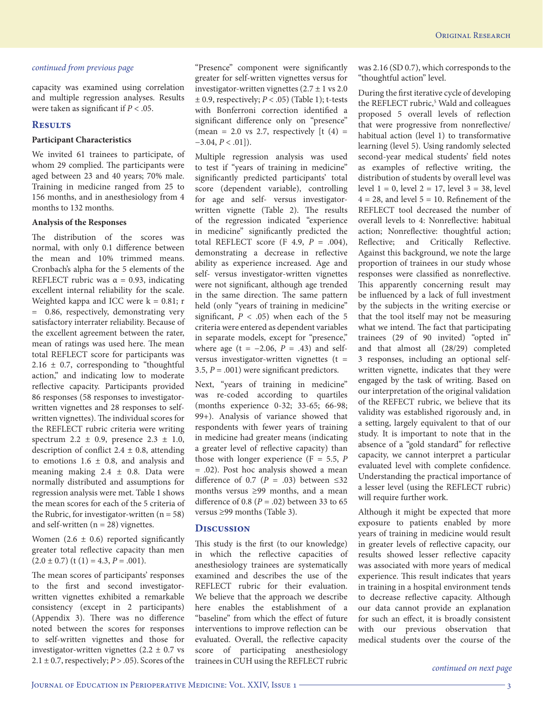capacity was examined using correlation and multiple regression analyses. Results were taken as significant if *P* < .05.

#### **Results**

#### **Participant Characteristics**

We invited 61 trainees to participate, of whom 29 complied. The participants were aged between 23 and 40 years; 70% male. Training in medicine ranged from 25 to 156 months, and in anesthesiology from 4 months to 132 months.

#### **Analysis of the Responses**

The distribution of the scores was normal, with only 0.1 difference between the mean and 10% trimmed means. Cronbach's alpha for the 5 elements of the REFLECT rubric was  $\alpha = 0.93$ , indicating excellent internal reliability for the scale. Weighted kappa and ICC were  $k = 0.81$ ; r = 0.86, respectively, demonstrating very satisfactory interrater reliability. Because of the excellent agreement between the rater, mean of ratings was used here. The mean total REFLECT score for participants was  $2.16 \pm 0.7$ , corresponding to "thoughtful action," and indicating low to moderate reflective capacity. Participants provided 86 responses (58 responses to investigatorwritten vignettes and 28 responses to selfwritten vignettes). The individual scores for the REFLECT rubric criteria were writing spectrum 2.2 ± 0.9, presence 2.3 ± 1.0, description of conflict  $2.4 \pm 0.8$ , attending to emotions  $1.6 \pm 0.8$ , and analysis and meaning making  $2.4 \pm 0.8$ . Data were normally distributed and assumptions for regression analysis were met. Table 1 shows the mean scores for each of the 5 criteria of the Rubric, for investigator-written  $(n = 58)$ and self-written  $(n = 28)$  vignettes.

Women  $(2.6 \pm 0.6)$  reported significantly greater total reflective capacity than men  $(2.0 \pm 0.7)$  (t (1) = 4.3, *P* = .001).

The mean scores of participants' responses to the first and second investigatorwritten vignettes exhibited a remarkable consistency (except in 2 participants) (Appendix 3). There was no difference noted between the scores for responses to self-written vignettes and those for investigator-written vignettes ( $2.2 \pm 0.7$  vs  $2.1 \pm 0.7$ , respectively;  $P > .05$ ). Scores of the

"Presence" component were significantly greater for self-written vignettes versus for investigator-written vignettes  $(2.7 \pm 1 \text{ vs } 2.0)$ ± 0.9, respectively; *P* < .05) (Table 1); t-tests with Bonferroni correction identified a significant difference only on "presence" (mean = 2.0 vs 2.7, respectively  $[t (4) =$ −3.04, *P* < .01]).

Multiple regression analysis was used to test if "years of training in medicine" significantly predicted participants' total score (dependent variable), controlling for age and self- versus investigatorwritten vignette (Table 2). The results of the regression indicated "experience in medicine" significantly predicted the total REFLECT score  $(F 4.9, P = .004)$ , demonstrating a decrease in reflective ability as experience increased. Age and self- versus investigator-written vignettes were not significant, although age trended in the same direction. The same pattern held (only "years of training in medicine" significant,  $P < .05$ ) when each of the 5 criteria were entered as dependent variables in separate models, except for "presence," where age (t =  $-2.06$ ,  $P = .43$ ) and selfversus investigator-written vignettes  $(t =$ 3.5,  $P = .001$ ) were significant predictors.

Next, "years of training in medicine" was re-coded according to quartiles (months experience 0-32; 33-65; 66-98; 99+). Analysis of variance showed that respondents with fewer years of training in medicine had greater means (indicating a greater level of reflective capacity) than those with longer experience (F = 5.5, *P* = .02). Post hoc analysis showed a mean difference of 0.7 ( $P = .03$ ) between ≤32 months versus ≥99 months, and a mean difference of 0.8 ( $P = .02$ ) between 33 to 65 versus ≥99 months (Table 3).

#### **Discussion**

This study is the first (to our knowledge) in which the reflective capacities of anesthesiology trainees are systematically examined and describes the use of the REFLECT rubric for their evaluation. We believe that the approach we describe here enables the establishment of a "baseline" from which the effect of future interventions to improve reflection can be evaluated. Overall, the reflective capacity score of participating anesthesiology trainees in CUH using the REFLECT rubric was 2.16 (SD 0.7), which corresponds to the "thoughtful action" level.

During the first iterative cycle of developing the REFLECT rubric,<sup>5</sup> Wald and colleagues proposed 5 overall levels of reflection that were progressive from nonreflective/ habitual action (level 1) to transformative learning (level 5). Using randomly selected second-year medical students' field notes as examples of reflective writing, the distribution of students by overall level was level  $1 = 0$ , level  $2 = 17$ , level  $3 = 38$ , level  $4 = 28$ , and level  $5 = 10$ . Refinement of the REFLECT tool decreased the number of overall levels to 4: Nonreflective: habitual action; Nonreflective: thoughtful action; Reflective; and Critically Reflective. Against this background, we note the large proportion of trainees in our study whose responses were classified as nonreflective. This apparently concerning result may be influenced by a lack of full investment by the subjects in the writing exercise or that the tool itself may not be measuring what we intend. The fact that participating trainees (29 of 90 invited) "opted in" and that almost all (28/29) completed 3 responses, including an optional selfwritten vignette, indicates that they were engaged by the task of writing. Based on our interpretation of the original validation of the REFECT rubric, we believe that its validity was established rigorously and, in a setting, largely equivalent to that of our study. It is important to note that in the absence of a "gold standard" for reflective capacity, we cannot interpret a particular evaluated level with complete confidence. Understanding the practical importance of a lesser level (using the REFLECT rubric) will require further work.

Although it might be expected that more exposure to patients enabled by more years of training in medicine would result in greater levels of reflective capacity, our results showed lesser reflective capacity was associated with more years of medical experience. This result indicates that years in training in a hospital environment tends to decrease reflective capacity. Although our data cannot provide an explanation for such an effect, it is broadly consistent with our previous observation that medical students over the course of the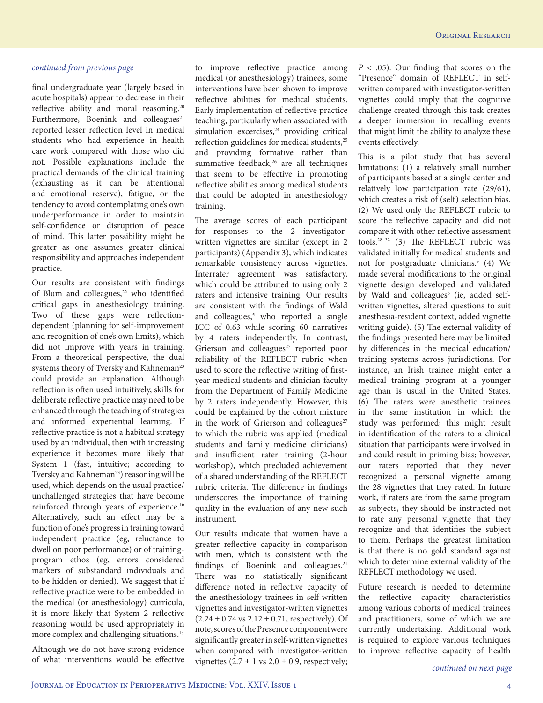final undergraduate year (largely based in acute hospitals) appear to decrease in their reflective ability and moral reasoning.<sup>20</sup> Furthermore, Boenink and colleagues $21$ reported lesser reflection level in medical students who had experience in health care work compared with those who did not. Possible explanations include the practical demands of the clinical training (exhausting as it can be attentional and emotional reserve), fatigue, or the tendency to avoid contemplating one's own underperformance in order to maintain self-confidence or disruption of peace of mind. This latter possibility might be greater as one assumes greater clinical responsibility and approaches independent practice.

Our results are consistent with findings of Blum and colleagues,<sup>22</sup> who identified critical gaps in anesthesiology training. Two of these gaps were reflectiondependent (planning for self-improvement and recognition of one's own limits), which did not improve with years in training. From a theoretical perspective, the dual systems theory of Tversky and Kahneman<sup>23</sup> could provide an explanation. Although reflection is often used intuitively, skills for deliberate reflective practice may need to be enhanced through the teaching of strategies and informed experiential learning. If reflective practice is not a habitual strategy used by an individual, then with increasing experience it becomes more likely that System 1 (fast, intuitive; according to Tversky and Kahneman<sup>23</sup>) reasoning will be used, which depends on the usual practice/ unchallenged strategies that have become reinforced through years of experience.<sup>16</sup> Alternatively, such an effect may be a function of one's progress in training toward independent practice (eg, reluctance to dwell on poor performance) or of trainingprogram ethos (eg, errors considered markers of substandard individuals and to be hidden or denied). We suggest that if reflective practice were to be embedded in the medical (or anesthesiology) curricula, it is more likely that System 2 reflective reasoning would be used appropriately in more complex and challenging situations.<sup>13</sup>

Although we do not have strong evidence of what interventions would be effective

to improve reflective practice among medical (or anesthesiology) trainees, some interventions have been shown to improve reflective abilities for medical students. Early implementation of reflective practice teaching, particularly when associated with simulation excercises,<sup>24</sup> providing critical reflection guidelines for medical students,<sup>25</sup> and providing formative rather than summative feedback,<sup>26</sup> are all techniques that seem to be effective in promoting reflective abilities among medical students that could be adopted in anesthesiology training.

The average scores of each participant for responses to the 2 investigatorwritten vignettes are similar (except in 2 participants) (Appendix 3), which indicates remarkable consistency across vignettes. Interrater agreement was satisfactory, which could be attributed to using only 2 raters and intensive training. Our results are consistent with the findings of Wald and colleagues,<sup>5</sup> who reported a single ICC of 0.63 while scoring 60 narratives by 4 raters independently. In contrast, Grierson and colleagues<sup>27</sup> reported poor reliability of the REFLECT rubric when used to score the reflective writing of firstyear medical students and clinician-faculty from the Department of Family Medicine by 2 raters independently. However, this could be explained by the cohort mixture in the work of Grierson and colleagues<sup>27</sup> to which the rubric was applied (medical students and family medicine clinicians) and insufficient rater training (2-hour workshop), which precluded achievement of a shared understanding of the REFLECT rubric criteria. The difference in findings underscores the importance of training quality in the evaluation of any new such instrument.

Our results indicate that women have a greater reflective capacity in comparison with men, which is consistent with the findings of Boenink and colleagues.<sup>21</sup> There was no statistically significant difference noted in reflective capacity of the anesthesiology trainees in self-written vignettes and investigator-written vignettes  $(2.24 \pm 0.74 \text{ vs } 2.12 \pm 0.71 \text{, respectively}).$  Of note, scores of the Presence component were significantly greater in self-written vignettes when compared with investigator-written vignettes  $(2.7 \pm 1 \text{ vs } 2.0 \pm 0.9, \text{ respectively};$  *P* < .05). Our finding that scores on the "Presence" domain of REFLECT in selfwritten compared with investigator-written vignettes could imply that the cognitive challenge created through this task creates a deeper immersion in recalling events that might limit the ability to analyze these events effectively.

This is a pilot study that has several limitations: (1) a relatively small number of participants based at a single center and relatively low participation rate (29/61), which creates a risk of (self) selection bias. (2) We used only the REFLECT rubric to score the reflective capacity and did not compare it with other reflective assessment tools.28–32 (3) The REFLECT rubric was validated initially for medical students and not for postgraduate clinicians.5 (4) We made several modifications to the original vignette design developed and validated by Wald and colleagues<sup>5</sup> (ie, added selfwritten vignettes, altered questions to suit anesthesia-resident context, added vignette writing guide). (5) The external validity of the findings presented here may be limited by differences in the medical education/ training systems across jurisdictions. For instance, an Irish trainee might enter a medical training program at a younger age than is usual in the United States. (6) The raters were anesthetic trainees in the same institution in which the study was performed; this might result in identification of the raters to a clinical situation that participants were involved in and could result in priming bias; however, our raters reported that they never recognized a personal vignette among the 28 vignettes that they rated. In future work, if raters are from the same program as subjects, they should be instructed not to rate any personal vignette that they recognize and that identifies the subject to them. Perhaps the greatest limitation is that there is no gold standard against which to determine external validity of the REFLECT methodology we used.

Future research is needed to determine the reflective capacity characteristics among various cohorts of medical trainees and practitioners, some of which we are currently undertaking. Additional work is required to explore various techniques to improve reflective capacity of health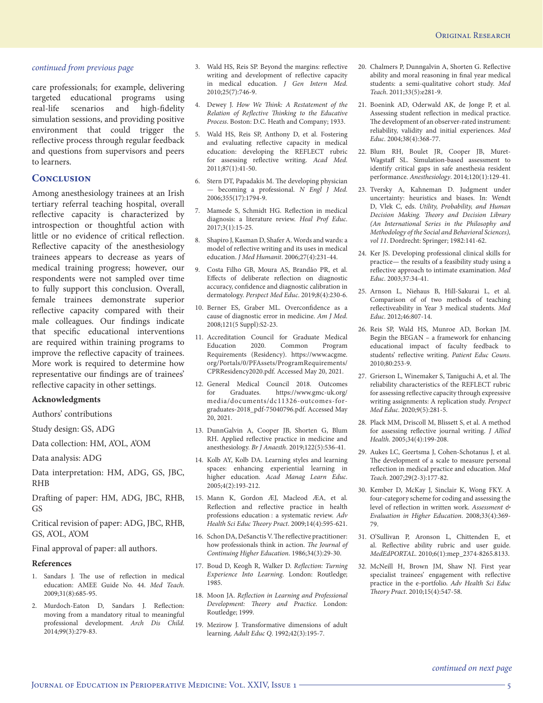care professionals; for example, delivering targeted educational programs using real-life scenarios and high-fidelity simulation sessions, and providing positive environment that could trigger the reflective process through regular feedback and questions from supervisors and peers to learners.

#### **Conclusion**

Among anesthesiology trainees at an Irish tertiary referral teaching hospital, overall reflective capacity is characterized by introspection or thoughtful action with little or no evidence of critical reflection. Reflective capacity of the anesthesiology trainees appears to decrease as years of medical training progress; however, our respondents were not sampled over time to fully support this conclusion. Overall, female trainees demonstrate superior reflective capacity compared with their male colleagues. Our findings indicate that specific educational interventions are required within training programs to improve the reflective capacity of trainees. More work is required to determine how representative our findings are of trainees' reflective capacity in other settings.

#### **Acknowledgments**

Authors' contributions

Study design: GS, ADG

Data collection: HM, A'OL, A'OM

Data analysis: ADG

Data interpretation: HM, ADG, GS, JBC, RHB

Drafting of paper: HM, ADG, JBC, RHB, GS

Critical revision of paper: ADG, JBC, RHB, GS, A'OL, A'OM

Final approval of paper: all authors.

#### **References**

- 1. Sandars J. The use of reflection in medical education: AMEE Guide No. 44. *Med Teach*. 2009;31(8):685-95.
- 2. Murdoch-Eaton D, Sandars J. Reflection: moving from a mandatory ritual to meaningful professional development. *Arch Dis Child*. 2014;99(3):279-83.
- 3. Wald HS, Reis SP. Beyond the margins: reflective writing and development of reflective capacity in medical education. *J Gen Intern Med*. 2010;25(7):746-9.
- 4. Dewey J. *How We Think: A Restatement of the Relation of Reflective Thinking to the Educative Process*. Boston: D.C. Heath and Company; 1933.
- 5. Wald HS, Reis SP, Anthony D, et al. Fostering and evaluating reflective capacity in medical education: developing the REFLECT rubric for assessing reflective writing. *Acad Med*. 2011;87(1):41-50.
- 6. Stern DT, Papadakis M. The developing physician — becoming a professional. *N Engl J Med*. 2006;355(17):1794-9.
- 7. Mamede S, Schmidt HG. Reflection in medical diagnosis: a literature review. *Heal Prof Educ*. 2017;3(1):15-25.
- 8. Shapiro J, Kasman D, Shafer A. Words and wards: a model of reflective writing and its uses in medical education. *J Med Humanit*. 2006;27(4):231-44.
- 9. Costa Filho GB, Moura AS, Brandão PR, et al. Effects of deliberate reflection on diagnostic accuracy, confidence and diagnostic calibration in dermatology. *Perspect Med Educ*. 2019;8(4):230-6.
- 10. Berner ES, Graber ML. Overconfidence as a cause of diagnostic error in medicine. *Am J Med*. 2008;121(5 Suppl):S2-23.
- 11. Accreditation Council for Graduate Medical Education 2020. Common Program Requirements (Residency). https://www.acgme. org/Portals/0/PFAssets/ProgramRequirements/ CPRResidency2020.pdf. Accessed May 20, 2021.
- 12. General Medical Council 2018. Outcomes for Graduates. https://www.gmc-uk.org/ media/documents/dc11326-outcomes-forgraduates-2018\_pdf-75040796.pdf. Accessed May 20, 2021.
- 13. DunnGalvin A, Cooper JB, Shorten G, Blum RH. Applied reflective practice in medicine and anesthesiology. *Br J Anaesth*. 2019;122(5):536-41.
- 14. Kolb AY, Kolb DA. Learning styles and learning spaces: enhancing experiential learning in higher education. *Acad Manag Learn Educ*. 2005;4(2):193-212.
- 15. Mann K, Gordon ÆJ, Macleod ÆA, et al. Reflection and reflective practice in health professions education : a systematic review. *Adv Health Sci Educ Theory Pract*. 2009;14(4):595-621.
- 16. Schon DA, DeSanctis V. The reflective practitioner: how professionals think in action. *The Journal of Continuing Higher Education*. 1986;34(3):29-30.
- 17. Boud D, Keogh R, Walker D. *Reflection: Turning Experience Into Learning*. London: Routledge; 1985.
- 18. Moon JA. *Reflection in Learning and Professional Development: Theory and Practice*. London: Routledge; 1999.
- 19. Mezirow J. Transformative dimensions of adult learning. *Adult Educ Q*. 1992;42(3):195-7.
- 20. Chalmers P, Dunngalvin A, Shorten G. Reflective ability and moral reasoning in final year medical students: a semi-qualitative cohort study. *Med Teach*. 2011;33(5):e281-9.
- 21. Boenink AD, Oderwald AK, de Jonge P, et al. Assessing student reflection in medical practice. The development of an observer-rated instrument: reliability, validity and initial experiences. *Med Educ*. 2004;38(4):368-77.
- 22. Blum RH, Boulet JR, Cooper JB, Muret-Wagstaff SL. Simulation-based assessment to identify critical gaps in safe anesthesia resident performance. *Anesthesiology*. 2014;120(1):129-41.
- 23. Tversky A, Kahneman D. Judgment under uncertainty: heuristics and biases. In: Wendt D, Vlek C, eds. *Utility, Probability, and Human Decision Making. Theory and Decision Library (An International Series in the Philosophy and Methodology of the Social and Behavioral Sciences), vol 11*. Dordrecht: Springer; 1982:141-62.
- 24. Ker JS. Developing professional clinical skills for practice— the results of a feasibility study using a reflective approach to intimate examination. *Med Educ*. 2003;37:34-41.
- 25. Arnson L, Niehaus B, Hill-Sakurai L, et al. Comparison of of two methods of teaching reflectiveability in Year 3 medical students. *Med Educ*. 2012;46:807-14.
- 26. Reis SP, Wald HS, Munroe AD, Borkan JM. Begin the BEGAN – a framework for enhancing educational impact of faculty feedback to students' reflective writing. *Patient Educ Couns*. 2010;80:253-9.
- 27. Grierson L, Winemaker S, Taniguchi A, et al. The reliability characteristics of the REFLECT rubric for assessing reflective capacity through expressive writing assignments: A replication study. *Perspect Med Educ*. 2020;9(5):281-5.
- 28. Plack MM, Driscoll M, Blissett S, et al. A method for assessing reflective journal writing. *J Allied Health*. 2005;34(4):199-208.
- 29. Aukes LC, Geertsma J, Cohen-Schotanus J, et al. The development of a scale to measure personal reflection in medical practice and education. *Med Teach*. 2007;29(2-3):177-82.
- 30. Kember D, McKay J, Sinclair K, Wong FKY. A four‐category scheme for coding and assessing the level of reflection in written work. *Assessment & Evaluation in Higher Education*. 2008;33(4):369- 79.
- 31. O'Sullivan P, Aronson L, Chittenden E, et al. Reflective ability rubric and user guide. *MedEdPORTAL*. 2010;6(1):mep\_2374-8265.8133.
- 32. McNeill H, Brown JM, Shaw NJ. First year specialist trainees' engagement with reflective practice in the e-portfolio. *Adv Health Sci Educ Theory Pract*. 2010;15(4):547-58.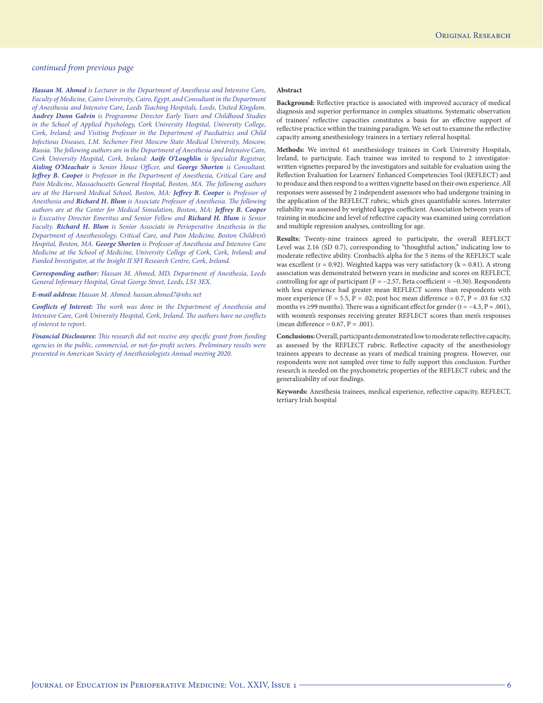*Hassan M. Ahmed is Lecturer in the Department of Anesthesia and Intensive Care, Faculty of Medicine, Cairo University, Cairo, Egypt, and Consultant in the Department of Anesthesia and Intensive Care, Leeds Teaching Hospitals, Leeds, United Kingdom. Audrey Dunn Galvin is Programme Director Early Years and Childhood Studies in the School of Applied Psychology, Cork University Hospital, University College, Cork, Ireland; and Visiting Professor in the Department of Paediatrics and Child Infectious Diseases, I.M. Sechenov First Moscow State Medical University, Moscow, Russia. The following authors are in the Department of Anesthesia and Intensive Care, Cork University Hospital, Cork, Ireland: Aoife O'Loughlin is Specialist Registrar, Aisling O'Meachair is Senior House Officer, and George Shorten is Consultant. Jeffrey B. Cooper is Professor in the Department of Anesthesia, Critical Care and Pain Medicine, Massachusetts General Hospital, Boston, MA. The following authors are at the Harvard Medical School, Boston, MA: Jeffrey B. Cooper is Professor of Anesthesia and Richard H. Blum is Associate Professor of Anesthesia. The following authors are at the Center for Medical Simulation, Boston, MA: Jeffrey B. Cooper is Executive Director Emeritus and Senior Fellow and Richard H. Blum is Senior Faculty. Richard H. Blum is Senior Associate in Perioperative Anesthesia in the Department of Anesthesiology, Critical Care, and Pain Medicine, Boston Children's Hospital, Boston, MA. George Shorten is Professor of Anesthesia and Intensive Care Medicine at the School of Medicine, University College of Cork, Cork, Ireland; and Funded Investigator, at the Insight II SFI Research Centre, Cork, Ireland.*

*Corresponding author: Hassan M. Ahmed, MD, Department of Anesthesia, Leeds General Infirmary Hospital, Great George Street, Leeds, LS1 3EX.*

*E-mail address: Hassan M. Ahmed: hassan.ahmed7@nhs.net*

*Conflicts of Interest: The work was done in the Department of Anesthesia and Intensive Care, Cork University Hospital, Cork, Ireland. The authors have no conflicts of interest to report.* 

*Financial Disclosures: This research did not receive any specific grant from funding agencies in the public, commercial, or not-for-profit sectors. Preliminary results were presented in American Society of Anesthesiologists Annual meeting 2020.*

#### **Abstract**

**Background:** Reflective practice is associated with improved accuracy of medical diagnosis and superior performance in complex situations. Systematic observation of trainees' reflective capacities constitutes a basis for an effective support of reflective practice within the training paradigm. We set out to examine the reflective capacity among anesthesiology trainees in a tertiary referral hospital.

**Methods:** We invited 61 anesthesiology trainees in Cork University Hospitals, Ireland, to participate. Each trainee was invited to respond to 2 investigatorwritten vignettes prepared by the investigators and suitable for evaluation using the Reflection Evaluation for Learners' Enhanced Competencies Tool (REFLECT) and to produce and then respond to a written vignette based on their own experience. All responses were assessed by 2 independent assessors who had undergone training in the application of the REFLECT rubric, which gives quantifiable scores. Interrater reliability was assessed by weighted kappa coefficient. Association between years of training in medicine and level of reflective capacity was examined using correlation and multiple regression analyses, controlling for age.

**Results:** Twenty-nine trainees agreed to participate, the overall REFLECT Level was 2.16 (SD 0.7), corresponding to "thoughtful action," indicating low to moderate reflective ability. Cronbach's alpha for the 5 items of the REFLECT scale was excellent ( $r = 0.92$ ). Weighted kappa was very satisfactory ( $k = 0.81$ ). A strong association was demonstrated between years in medicine and scores on REFLECT, controlling for age of participant ( $F = -2.57$ , Beta coefficient = -0.30). Respondents with less experience had greater mean REFLECT scores than respondents with more experience (F = 5.5, P = .02; post hoc mean difference = 0.7, P = .03 for  $\leq 32$ months vs ≥99 months). There was a significant effect for gender (t =  $-4.3$ , P = .001), with women's responses receiving greater REFLECT scores than men's responses (mean difference =  $0.67$ , P =  $.001$ ).

**Conclusions:** Overall, participants demonstrated low to moderate reflective capacity, as assessed by the REFLECT rubric. Reflective capacity of the anesthesiology trainees appears to decrease as years of medical training progress. However, our respondents were not sampled over time to fully support this conclusion. Further research is needed on the psychometric properties of the REFLECT rubric and the generalizability of our findings.

**Keywords:** Anesthesia trainees, medical experience, reflective capacity, REFLECT, tertiary Irish hospital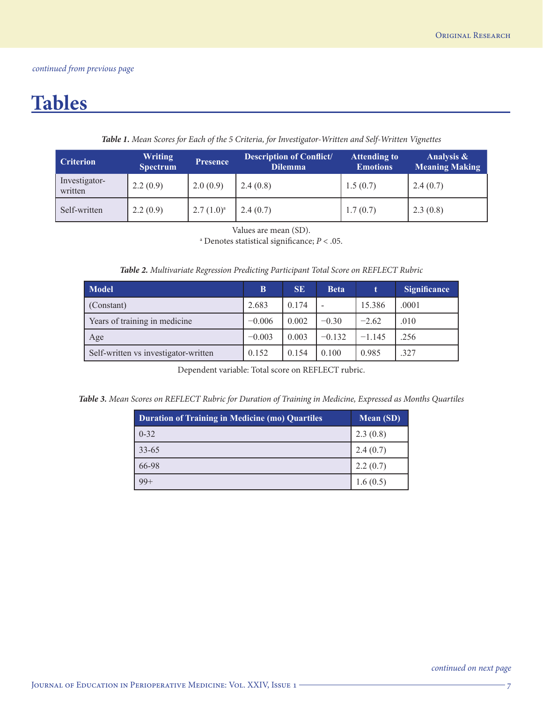# **Tables**

|  |  |  | Table 1. Mean Scores for Each of the 5 Criteria, for Investigator-Written and Self-Written Vignettes |  |  |
|--|--|--|------------------------------------------------------------------------------------------------------|--|--|
|--|--|--|------------------------------------------------------------------------------------------------------|--|--|

| <b>Criterion</b>         | <b>Writing</b><br><b>Spectrum</b> | <b>Presence</b> | <b>Description of Conflict/</b><br><b>Dilemma</b> | <b>Attending to</b><br><b>Emotions</b> | Analysis &<br><b>Meaning Making</b> |
|--------------------------|-----------------------------------|-----------------|---------------------------------------------------|----------------------------------------|-------------------------------------|
| Investigator-<br>written | 2.2(0.9)                          | 2.0(0.9)        | 2.4(0.8)                                          | 1.5(0.7)                               | 2.4(0.7)                            |
| Self-written             | 2.2(0.9)                          | $2.7(1.0)^a$    | 2.4(0.7)                                          | 1.7(0.7)                               | 2.3(0.8)                            |

Values are mean (SD).

a Denotes statistical significance; *P* < .05.

| Table 2. Multivariate Regression Predicting Participant Total Score on REFLECT Rubric |  |  |
|---------------------------------------------------------------------------------------|--|--|
|---------------------------------------------------------------------------------------|--|--|

| <b>Model</b>                         | B        | <b>SE</b> | <b>Beta</b> | t        | <b>Significance</b> |
|--------------------------------------|----------|-----------|-------------|----------|---------------------|
| (Constant)                           | 2.683    | 0.174     |             | 15.386   | .0001               |
| Years of training in medicine        | $-0.006$ | 0.002     | $-0.30$     | $-2.62$  | .010                |
| Age                                  | $-0.003$ | 0.003     | $-0.132$    | $-1.145$ | .256                |
| Self-written vs investigator-written | 0.152    | 0.154     | 0.100       | 0.985    | .327                |

Dependent variable: Total score on REFLECT rubric.

*Table 3. Mean Scores on REFLECT Rubric for Duration of Training in Medicine, Expressed as Months Quartiles*

| <b>Duration of Training in Medicine (mo) Quartiles</b> | <b>Mean (SD)</b> |
|--------------------------------------------------------|------------------|
| $0 - 32$                                               | 2.3(0.8)         |
| $33 - 65$                                              | 2.4(0.7)         |
| 66-98                                                  | 2.2(0.7)         |
|                                                        | 1.6(0.5)         |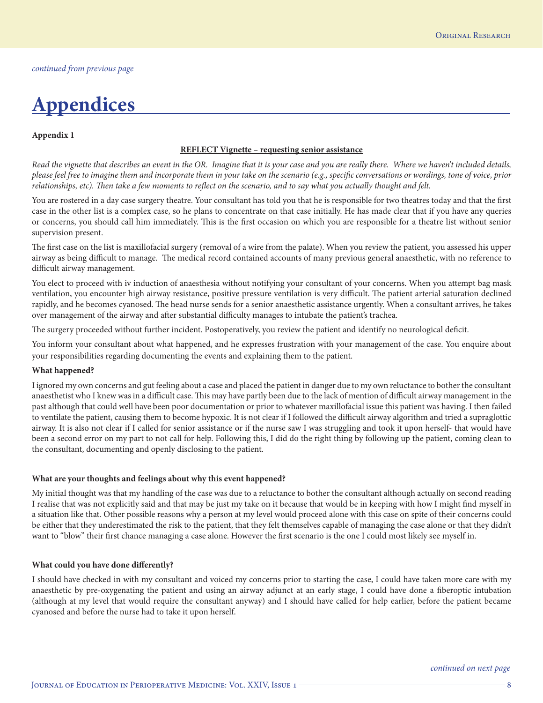# **Appendices**

#### **Appendix 1**

#### **REFLECT Vignette – requesting senior assistance**

*Read the vignette that describes an event in the OR. Imagine that it is your case and you are really there. Where we haven't included details, please feel free to imagine them and incorporate them in your take on the scenario (e.g., specific conversations or wordings, tone of voice, prior relationships, etc). Then take a few moments to reflect on the scenario, and to say what you actually thought and felt.*

You are rostered in a day case surgery theatre. Your consultant has told you that he is responsible for two theatres today and that the first case in the other list is a complex case, so he plans to concentrate on that case initially. He has made clear that if you have any queries or concerns, you should call him immediately. This is the first occasion on which you are responsible for a theatre list without senior supervision present.

The first case on the list is maxillofacial surgery (removal of a wire from the palate). When you review the patient, you assessed his upper airway as being difficult to manage. The medical record contained accounts of many previous general anaesthetic, with no reference to difficult airway management.

You elect to proceed with iv induction of anaesthesia without notifying your consultant of your concerns. When you attempt bag mask ventilation, you encounter high airway resistance, positive pressure ventilation is very difficult. The patient arterial saturation declined rapidly, and he becomes cyanosed. The head nurse sends for a senior anaesthetic assistance urgently. When a consultant arrives, he takes over management of the airway and after substantial difficulty manages to intubate the patient's trachea.

The surgery proceeded without further incident. Postoperatively, you review the patient and identify no neurological deficit.

You inform your consultant about what happened, and he expresses frustration with your management of the case. You enquire about your responsibilities regarding documenting the events and explaining them to the patient.

#### **What happened?**

I ignored my own concerns and gut feeling about a case and placed the patient in danger due to my own reluctance to bother the consultant anaesthetist who I knew was in a difficult case. This may have partly been due to the lack of mention of difficult airway management in the past although that could well have been poor documentation or prior to whatever maxillofacial issue this patient was having. I then failed to ventilate the patient, causing them to become hypoxic. It is not clear if I followed the difficult airway algorithm and tried a supraglottic airway. It is also not clear if I called for senior assistance or if the nurse saw I was struggling and took it upon herself- that would have been a second error on my part to not call for help. Following this, I did do the right thing by following up the patient, coming clean to the consultant, documenting and openly disclosing to the patient.

#### **What are your thoughts and feelings about why this event happened?**

My initial thought was that my handling of the case was due to a reluctance to bother the consultant although actually on second reading I realise that was not explicitly said and that may be just my take on it because that would be in keeping with how I might find myself in a situation like that. Other possible reasons why a person at my level would proceed alone with this case on spite of their concerns could be either that they underestimated the risk to the patient, that they felt themselves capable of managing the case alone or that they didn't want to "blow" their first chance managing a case alone. However the first scenario is the one I could most likely see myself in.

#### **What could you have done differently?**

I should have checked in with my consultant and voiced my concerns prior to starting the case, I could have taken more care with my anaesthetic by pre-oxygenating the patient and using an airway adjunct at an early stage, I could have done a fiberoptic intubation (although at my level that would require the consultant anyway) and I should have called for help earlier, before the patient became cyanosed and before the nurse had to take it upon herself.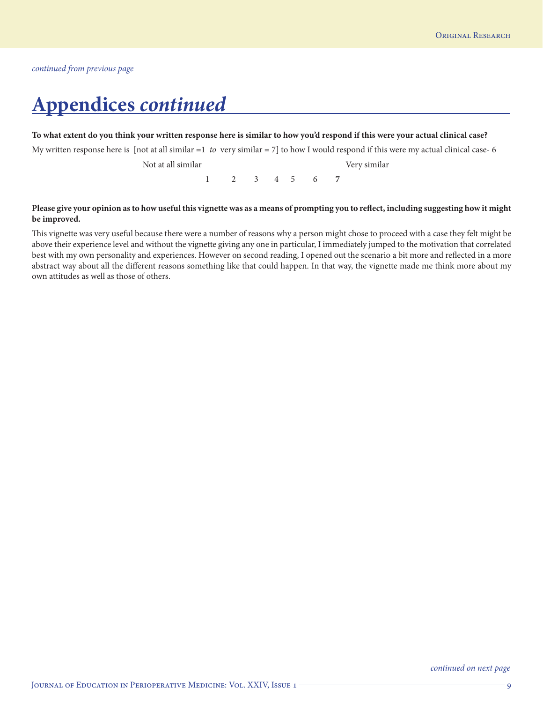# **Appendices** *continued*

#### **To what extent do you think your written response here is similar to how you'd respond if this were your actual clinical case?**

My written response here is [not at all similar =1 *to*  very similar = 7] to how I would respond if this were my actual clinical case- 6

Not at all similar Very similar

 $1 \t2 \t3 \t4 \t5 \t6 \t7$ 

### **Please give your opinion as to how useful this vignette was as a means of prompting you to reflect, including suggesting how it might be improved.**

This vignette was very useful because there were a number of reasons why a person might chose to proceed with a case they felt might be above their experience level and without the vignette giving any one in particular, I immediately jumped to the motivation that correlated best with my own personality and experiences. However on second reading, I opened out the scenario a bit more and reflected in a more abstract way about all the different reasons something like that could happen. In that way, the vignette made me think more about my own attitudes as well as those of others.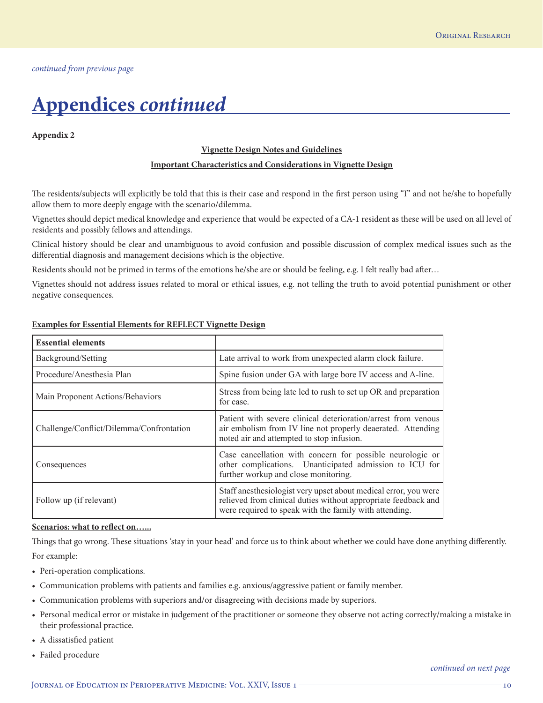# **Appendices** *continued*

#### **Appendix 2**

#### **Vignette Design Notes and Guidelines**

#### **Important Characteristics and Considerations in Vignette Design**

The residents/subjects will explicitly be told that this is their case and respond in the first person using "I" and not he/she to hopefully allow them to more deeply engage with the scenario/dilemma.

Vignettes should depict medical knowledge and experience that would be expected of a CA-1 resident as these will be used on all level of residents and possibly fellows and attendings.

Clinical history should be clear and unambiguous to avoid confusion and possible discussion of complex medical issues such as the differential diagnosis and management decisions which is the objective.

Residents should not be primed in terms of the emotions he/she are or should be feeling, e.g. I felt really bad after…

Vignettes should not address issues related to moral or ethical issues, e.g. not telling the truth to avoid potential punishment or other negative consequences.

| <b>Essential elements</b>                |                                                                                                                                                                                             |
|------------------------------------------|---------------------------------------------------------------------------------------------------------------------------------------------------------------------------------------------|
| Background/Setting                       | Late arrival to work from unexpected alarm clock failure.                                                                                                                                   |
| Procedure/Anesthesia Plan                | Spine fusion under GA with large bore IV access and A-line.                                                                                                                                 |
| Main Proponent Actions/Behaviors         | Stress from being late led to rush to set up OR and preparation<br>for case.                                                                                                                |
| Challenge/Conflict/Dilemma/Confrontation | Patient with severe clinical deterioration/arrest from venous<br>air embolism from IV line not properly deaerated. Attending<br>noted air and attempted to stop infusion.                   |
| Consequences                             | Case cancellation with concern for possible neurologic or<br>other complications. Unanticipated admission to ICU for<br>further workup and close monitoring.                                |
| Follow up (if relevant)                  | Staff anesthesiologist very upset about medical error, you were<br>relieved from clinical duties without appropriate feedback and<br>were required to speak with the family with attending. |

#### **Examples for Essential Elements for REFLECT Vignette Design**

#### **Scenarios: what to reflect on…...**

Things that go wrong. These situations 'stay in your head' and force us to think about whether we could have done anything differently. For example:

- Peri-operation complications.
- Communication problems with patients and families e.g. anxious/aggressive patient or family member.
- Communication problems with superiors and/or disagreeing with decisions made by superiors.
- Personal medical error or mistake in judgement of the practitioner or someone they observe not acting correctly/making a mistake in their professional practice.
- A dissatisfied patient
- Failed procedure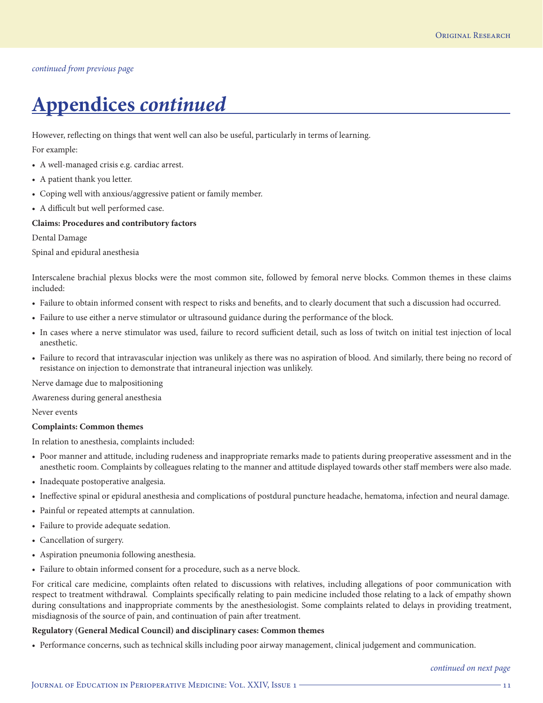# **Appendices** *continued*

However, reflecting on things that went well can also be useful, particularly in terms of learning.

For example:

- A well-managed crisis e.g. cardiac arrest.
- A patient thank you letter.
- Coping well with anxious/aggressive patient or family member.
- A difficult but well performed case.

## **Claims: Procedures and contributory factors**

Dental Damage

Spinal and epidural anesthesia

Interscalene brachial plexus blocks were the most common site, followed by femoral nerve blocks. Common themes in these claims included:

- Failure to obtain informed consent with respect to risks and benefits, and to clearly document that such a discussion had occurred.
- Failure to use either a nerve stimulator or ultrasound guidance during the performance of the block.
- In cases where a nerve stimulator was used, failure to record sufficient detail, such as loss of twitch on initial test injection of local anesthetic.
- Failure to record that intravascular injection was unlikely as there was no aspiration of blood. And similarly, there being no record of resistance on injection to demonstrate that intraneural injection was unlikely.

Nerve damage due to malpositioning

Awareness during general anesthesia

Never events

### **Complaints: Common themes**

In relation to anesthesia, complaints included:

- Poor manner and attitude, including rudeness and inappropriate remarks made to patients during preoperative assessment and in the anesthetic room. Complaints by colleagues relating to the manner and attitude displayed towards other staff members were also made.
- Inadequate postoperative analgesia.
- Ineffective spinal or epidural anesthesia and complications of postdural puncture headache, hematoma, infection and neural damage.
- Painful or repeated attempts at cannulation.
- Failure to provide adequate sedation.
- Cancellation of surgery.
- Aspiration pneumonia following anesthesia.
- Failure to obtain informed consent for a procedure, such as a nerve block.

For critical care medicine, complaints often related to discussions with relatives, including allegations of poor communication with respect to treatment withdrawal. Complaints specifically relating to pain medicine included those relating to a lack of empathy shown during consultations and inappropriate comments by the anesthesiologist. Some complaints related to delays in providing treatment, misdiagnosis of the source of pain, and continuation of pain after treatment.

### **Regulatory (General Medical Council) and disciplinary cases: Common themes**

• Performance concerns, such as technical skills including poor airway management, clinical judgement and communication.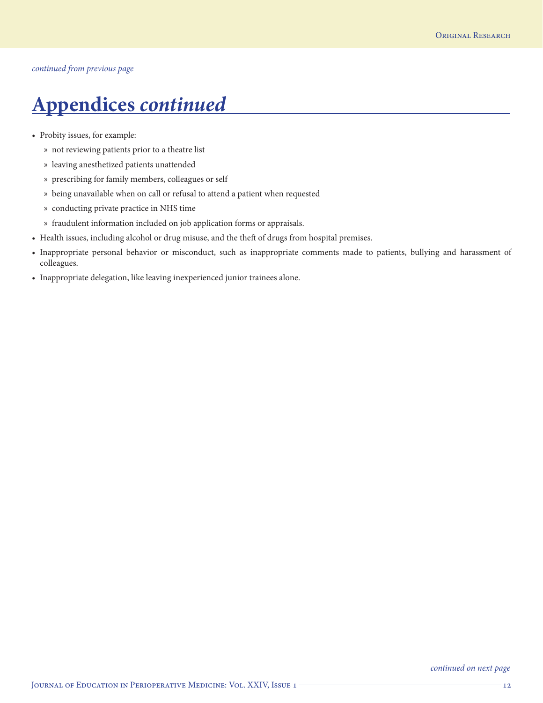# **Appendices** *continued*

- Probity issues, for example:
	- » not reviewing patients prior to a theatre list
	- » leaving anesthetized patients unattended
	- » prescribing for family members, colleagues or self
	- » being unavailable when on call or refusal to attend a patient when requested
	- » conducting private practice in NHS time
	- » fraudulent information included on job application forms or appraisals.
- Health issues, including alcohol or drug misuse, and the theft of drugs from hospital premises.
- Inappropriate personal behavior or misconduct, such as inappropriate comments made to patients, bullying and harassment of colleagues.
- Inappropriate delegation, like leaving inexperienced junior trainees alone.